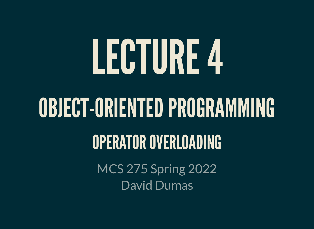# LECTURE4

# OBJECT-ORIENTED PROGRAMMING

#### OPERATOR OVERLOADING

MCS 275 Spring 2022 David Dumas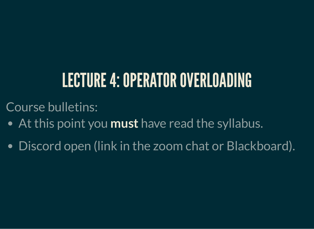#### LECTURE 4: OPERATOR OVERLOADING

Course bulletins:

- At this point you **must** have read the syllabus.
- Discord open (link in the zoom chat or Blackboard).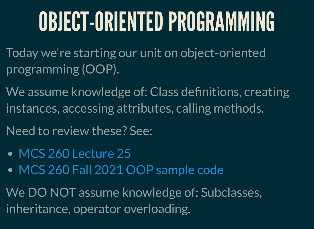# OBJECT-ORIENTEDPROGRAMMING

Today we're starting our unit on object-oriented programming (OOP).

We assume knowledge of: Class definitions, creating instances, accessing attributes, calling methods.

Need to review these? See:

- MCS 260 [Lecture](https://www.dumas.io/teaching/2021/fall/mcs260/slides/lecture25.html) 25
- MCS 260 Fall 2021 OOP [sample](https://github.com/daviddumas/mcs260fall2021/tree/main/samplecode/oop) code

We DO NOT assume knowledge of: Subclasses, inheritance, operator overloading.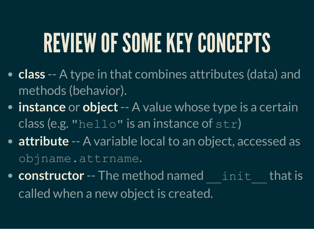# REVIEW OF SOME KEY CONCEPTS

- **class** -- A type in that combines attributes (data) and methods (behavior).
- **instance** or **object**-- A value whose type is a certain class (e.g. "hello" is an instance of  $str)$
- **attribute** -- A variable local to an object, accessed as objname.attrname.
- **constructor** -- The method named init that is called when a new object is created.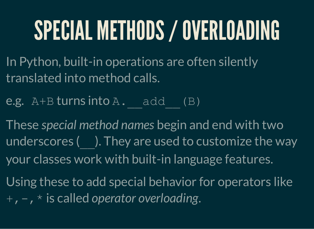# SPECIAL METHODS/OVERLOADING

- In Python, built-in operations are often silently translated into method calls.
- e.g.  $A+B$  turns into  $A$ .  $add$  (B)
- These *special method names* begin and end with two underscores (). They are used to customize the way your classes work with built-in language features.
- Using these to add special behavior for operators like +,-,\* is called *operator overloading*.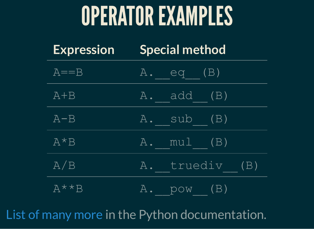#### OPERATOREXAMPLES

| <b>Expression</b> | <b>Special method</b> |
|-------------------|-----------------------|
| $A = B$           | $A.$ eq $(B)$         |
| $A + B$           | $A = add (B)$         |
| $A - B$           | A. sub (B)            |
| $A*B$             | A. mul (B)            |
| A/B               | A. truediv (B)        |
| $A \star \star B$ | $A.$ $pow$ $(B)$      |

List of [many](https://docs.python.org/3/reference/datamodel.html#emulating-numeric-types) more in the Python documentation.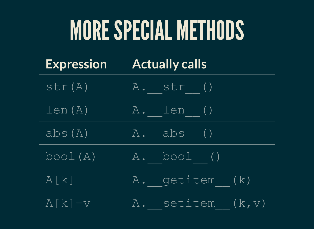# MORESPECIAL METHODS

| <b>Expression</b> | <b>Actually calls</b> |
|-------------------|-----------------------|
|-------------------|-----------------------|

| str(A)     | A. str ()         |
|------------|-------------------|
| len(A)     | A. len ()         |
| abs(A)     | A. abs ()         |
| bool(A)    | A. bool ()        |
| A[k]       | A. getitem (k)    |
| $A[k] = v$ | A. setitem (k, v) |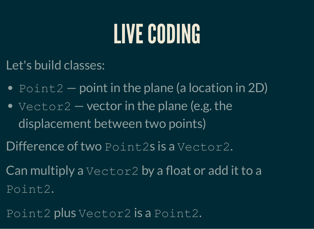## LIVE CODING

Let's build classes:

- $\bullet$  Point2 point in the plane (a location in 2D)
- $Vector2$  vector in the plane (e.g. the displacement between two points)
- Difference of two Point2s is a Vector2.
- Can multiply a Vector2 by a float or add it to a Point2.
- Point2 plus Vector2 is a Point2.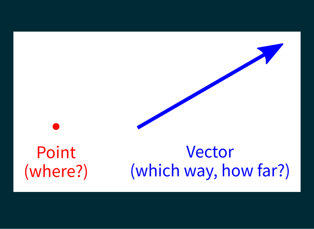Point Vector (which way, how far?) (where?)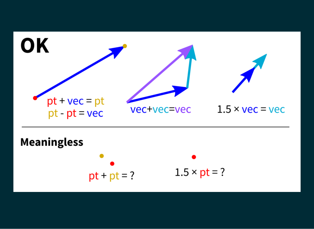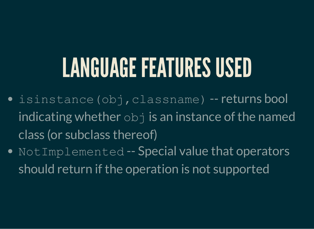#### LANGUAGE FEATURES USED

- $\bullet$  isinstance(obj,classname) -- returns bool indicating whether  $\overline{obj}$  is an instance of the named class (or subclass thereof)
- NotImplemented -- Special value that operators should return if the operation is not supported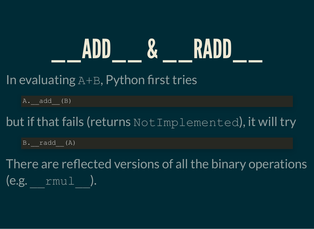#### \_\_ ADD \_\_ & \_\_ RADD \_\_

#### In evaluating  $A+B$ , Python first tries

 $A.$  add  $(B)$ 

but if that fails (returns NotImplemented), it will try

 $B.$  radd  $(A)$ 

There are reflected versions of all the binary operations (e.g. \_\_rmul\_\_).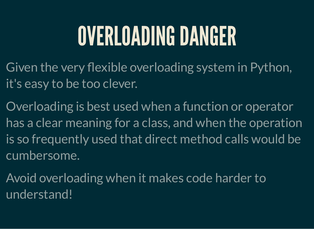# OVERLOADING DANGER

- Given the very flexible overloading system in Python, it's easy to be too clever.
- Overloading is best used when a function or operator has a clear meaning for a class, and when the operation is so frequently used that direct method calls would be cumbersome.
- Avoid overloading when it makes code harder to understand!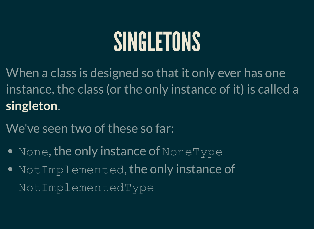#### SINGLETONS

When a class is designed so that it only ever has one instance, the class (or the only instance of it) is called a **singleton**.

We've seen two of these so far:

- $\bullet$  None, the only instance of NoneType
- NotImplemented, the only instance of NotImplementedType